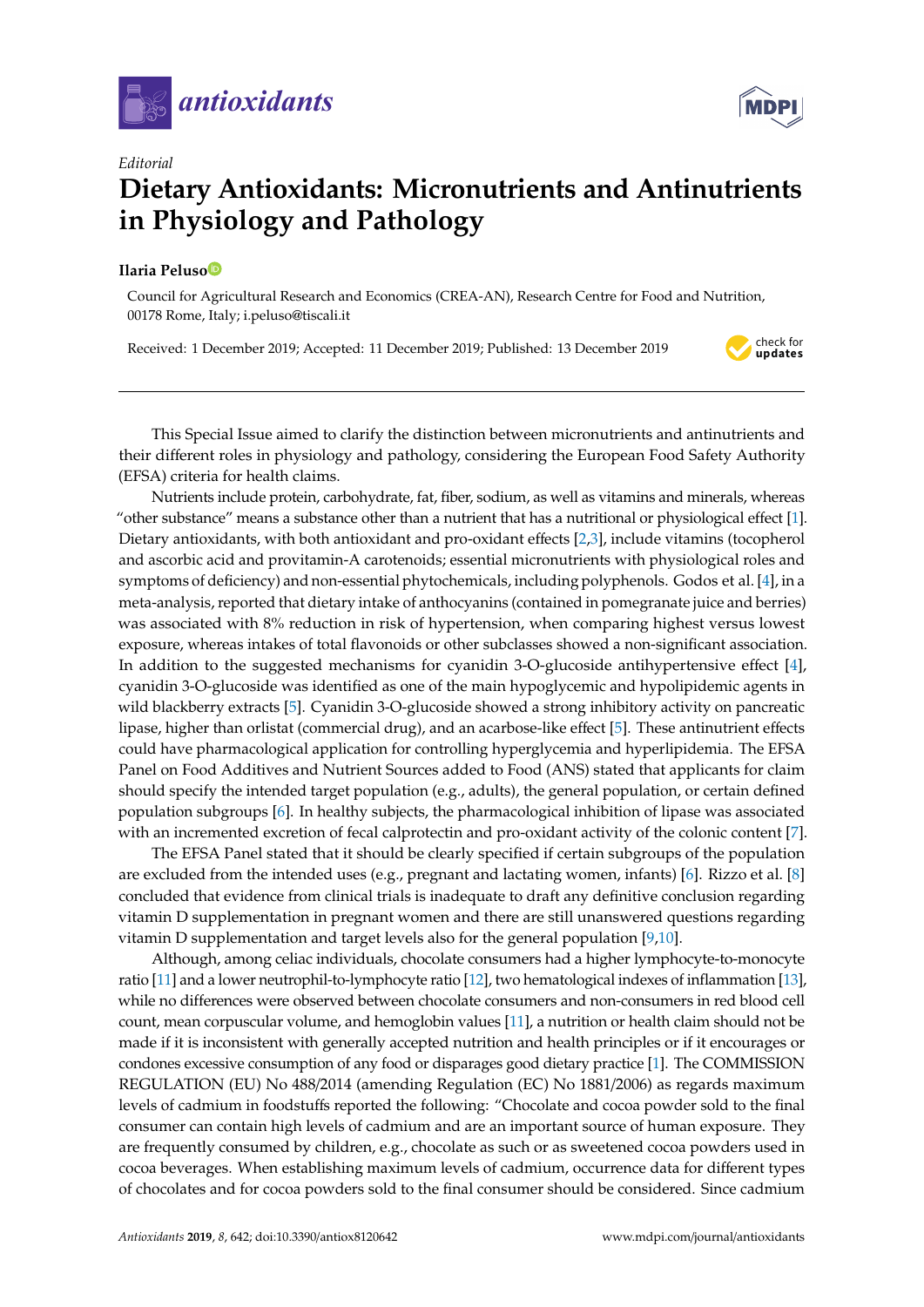

*Editorial*

## **Dietary Antioxidants: Micronutrients and Antinutrients in Physiology and Pathology**

## **Ilaria Pelus[o](https://orcid.org/0000-0002-6210-5241)**

Council for Agricultural Research and Economics (CREA-AN), Research Centre for Food and Nutrition, 00178 Rome, Italy; i.peluso@tiscali.it

Received: 1 December 2019; Accepted: 11 December 2019; Published: 13 December 2019

check for<br>**updates** 

This Special Issue aimed to clarify the distinction between micronutrients and antinutrients and their different roles in physiology and pathology, considering the European Food Safety Authority (EFSA) criteria for health claims.

Nutrients include protein, carbohydrate, fat, fiber, sodium, as well as vitamins and minerals, whereas "other substance" means a substance other than a nutrient that has a nutritional or physiological effect [\[1\]](#page-1-0). Dietary antioxidants, with both antioxidant and pro-oxidant effects [\[2,](#page-1-1)[3\]](#page-1-2), include vitamins (tocopherol and ascorbic acid and provitamin-A carotenoids; essential micronutrients with physiological roles and symptoms of deficiency) and non-essential phytochemicals, including polyphenols. Godos et al. [\[4\]](#page-1-3), in a meta-analysis, reported that dietary intake of anthocyanins (contained in pomegranate juice and berries) was associated with 8% reduction in risk of hypertension, when comparing highest versus lowest exposure, whereas intakes of total flavonoids or other subclasses showed a non-significant association. In addition to the suggested mechanisms for cyanidin 3-O-glucoside antihypertensive effect [\[4\]](#page-1-3), cyanidin 3-O-glucoside was identified as one of the main hypoglycemic and hypolipidemic agents in wild blackberry extracts [\[5\]](#page-1-4). Cyanidin 3-O-glucoside showed a strong inhibitory activity on pancreatic lipase, higher than orlistat (commercial drug), and an acarbose-like effect [\[5\]](#page-1-4). These antinutrient effects could have pharmacological application for controlling hyperglycemia and hyperlipidemia. The EFSA Panel on Food Additives and Nutrient Sources added to Food (ANS) stated that applicants for claim should specify the intended target population (e.g., adults), the general population, or certain defined population subgroups [\[6\]](#page-1-5). In healthy subjects, the pharmacological inhibition of lipase was associated with an incremented excretion of fecal calprotectin and pro-oxidant activity of the colonic content [\[7\]](#page-1-6).

The EFSA Panel stated that it should be clearly specified if certain subgroups of the population are excluded from the intended uses (e.g., pregnant and lactating women, infants) [\[6\]](#page-1-5). Rizzo et al. [\[8\]](#page-1-7) concluded that evidence from clinical trials is inadequate to draft any definitive conclusion regarding vitamin D supplementation in pregnant women and there are still unanswered questions regarding vitamin D supplementation and target levels also for the general population [\[9](#page-2-0)[,10\]](#page-2-1).

Although, among celiac individuals, chocolate consumers had a higher lymphocyte-to-monocyte ratio [\[11\]](#page-2-2) and a lower neutrophil-to-lymphocyte ratio [\[12\]](#page-2-3), two hematological indexes of inflammation [\[13\]](#page-2-4), while no differences were observed between chocolate consumers and non-consumers in red blood cell count, mean corpuscular volume, and hemoglobin values [\[11\]](#page-2-2), a nutrition or health claim should not be made if it is inconsistent with generally accepted nutrition and health principles or if it encourages or condones excessive consumption of any food or disparages good dietary practice [\[1\]](#page-1-0). The COMMISSION REGULATION (EU) No 488/2014 (amending Regulation (EC) No 1881/2006) as regards maximum levels of cadmium in foodstuffs reported the following: "Chocolate and cocoa powder sold to the final consumer can contain high levels of cadmium and are an important source of human exposure. They are frequently consumed by children, e.g., chocolate as such or as sweetened cocoa powders used in cocoa beverages. When establishing maximum levels of cadmium, occurrence data for different types of chocolates and for cocoa powders sold to the final consumer should be considered. Since cadmium

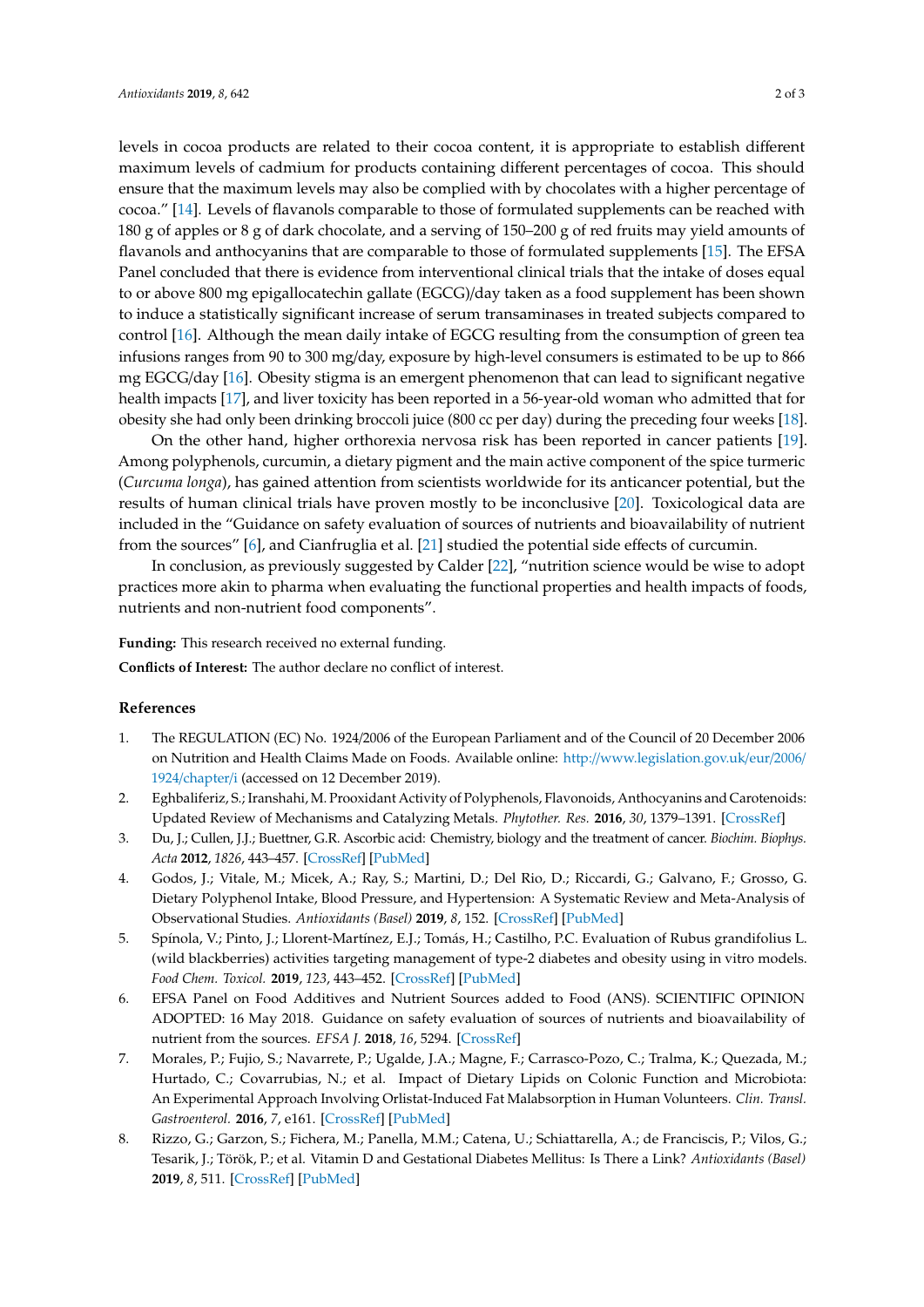levels in cocoa products are related to their cocoa content, it is appropriate to establish different maximum levels of cadmium for products containing different percentages of cocoa. This should ensure that the maximum levels may also be complied with by chocolates with a higher percentage of cocoa." [\[14\]](#page-2-5). Levels of flavanols comparable to those of formulated supplements can be reached with 180 g of apples or 8 g of dark chocolate, and a serving of 150–200 g of red fruits may yield amounts of flavanols and anthocyanins that are comparable to those of formulated supplements [\[15\]](#page-2-6). The EFSA Panel concluded that there is evidence from interventional clinical trials that the intake of doses equal to or above 800 mg epigallocatechin gallate (EGCG)/day taken as a food supplement has been shown to induce a statistically significant increase of serum transaminases in treated subjects compared to control [\[16\]](#page-2-7). Although the mean daily intake of EGCG resulting from the consumption of green tea infusions ranges from 90 to 300 mg/day, exposure by high-level consumers is estimated to be up to 866 mg EGCG/day [\[16\]](#page-2-7). Obesity stigma is an emergent phenomenon that can lead to significant negative health impacts [\[17\]](#page-2-8), and liver toxicity has been reported in a 56-year-old woman who admitted that for obesity she had only been drinking broccoli juice (800 cc per day) during the preceding four weeks [\[18\]](#page-2-9).

On the other hand, higher orthorexia nervosa risk has been reported in cancer patients [\[19\]](#page-2-10). Among polyphenols, curcumin, a dietary pigment and the main active component of the spice turmeric (*Curcuma longa*), has gained attention from scientists worldwide for its anticancer potential, but the results of human clinical trials have proven mostly to be inconclusive [\[20\]](#page-2-11). Toxicological data are included in the "Guidance on safety evaluation of sources of nutrients and bioavailability of nutrient from the sources" [\[6\]](#page-1-5), and Cianfruglia et al. [\[21\]](#page-2-12) studied the potential side effects of curcumin.

In conclusion, as previously suggested by Calder [\[22\]](#page-2-13), "nutrition science would be wise to adopt practices more akin to pharma when evaluating the functional properties and health impacts of foods, nutrients and non-nutrient food components".

**Funding:** This research received no external funding.

**Conflicts of Interest:** The author declare no conflict of interest.

## **References**

- <span id="page-1-0"></span>1. The REGULATION (EC) No. 1924/2006 of the European Parliament and of the Council of 20 December 2006 on Nutrition and Health Claims Made on Foods. Available online: http://[www.legislation.gov.uk](http://www.legislation.gov.uk/eur/2006/1924/chapter/i)/eur/2006/ 1924/[chapter](http://www.legislation.gov.uk/eur/2006/1924/chapter/i)/i (accessed on 12 December 2019).
- <span id="page-1-1"></span>2. Eghbaliferiz, S.; Iranshahi, M. Prooxidant Activity of Polyphenols, Flavonoids, Anthocyanins and Carotenoids: Updated Review of Mechanisms and Catalyzing Metals. *Phytother. Res.* **2016**, *30*, 1379–1391. [\[CrossRef\]](http://dx.doi.org/10.1002/ptr.5643)
- <span id="page-1-2"></span>3. Du, J.; Cullen, J.J.; Buettner, G.R. Ascorbic acid: Chemistry, biology and the treatment of cancer. *Biochim. Biophys. Acta* **2012**, *1826*, 443–457. [\[CrossRef\]](http://dx.doi.org/10.1016/j.bbcan.2012.06.003) [\[PubMed\]](http://www.ncbi.nlm.nih.gov/pubmed/22728050)
- <span id="page-1-3"></span>4. Godos, J.; Vitale, M.; Micek, A.; Ray, S.; Martini, D.; Del Rio, D.; Riccardi, G.; Galvano, F.; Grosso, G. Dietary Polyphenol Intake, Blood Pressure, and Hypertension: A Systematic Review and Meta-Analysis of Observational Studies. *Antioxidants (Basel)* **2019**, *8*, 152. [\[CrossRef\]](http://dx.doi.org/10.3390/antiox8060152) [\[PubMed\]](http://www.ncbi.nlm.nih.gov/pubmed/31159186)
- <span id="page-1-4"></span>5. Spínola, V.; Pinto, J.; Llorent-Martínez, E.J.; Tomás, H.; Castilho, P.C. Evaluation of Rubus grandifolius L. (wild blackberries) activities targeting management of type-2 diabetes and obesity using in vitro models. *Food Chem. Toxicol.* **2019**, *123*, 443–452. [\[CrossRef\]](http://dx.doi.org/10.1016/j.fct.2018.11.006) [\[PubMed\]](http://www.ncbi.nlm.nih.gov/pubmed/30408537)
- <span id="page-1-5"></span>6. EFSA Panel on Food Additives and Nutrient Sources added to Food (ANS). SCIENTIFIC OPINION ADOPTED: 16 May 2018. Guidance on safety evaluation of sources of nutrients and bioavailability of nutrient from the sources. *EFSA J.* **2018**, *16*, 5294. [\[CrossRef\]](http://dx.doi.org/10.2903/j.efsa.2018.5294)
- <span id="page-1-6"></span>7. Morales, P.; Fujio, S.; Navarrete, P.; Ugalde, J.A.; Magne, F.; Carrasco-Pozo, C.; Tralma, K.; Quezada, M.; Hurtado, C.; Covarrubias, N.; et al. Impact of Dietary Lipids on Colonic Function and Microbiota: An Experimental Approach Involving Orlistat-Induced Fat Malabsorption in Human Volunteers. *Clin. Transl. Gastroenterol.* **2016**, *7*, e161. [\[CrossRef\]](http://dx.doi.org/10.1038/ctg.2016.20) [\[PubMed\]](http://www.ncbi.nlm.nih.gov/pubmed/27054579)
- <span id="page-1-7"></span>8. Rizzo, G.; Garzon, S.; Fichera, M.; Panella, M.M.; Catena, U.; Schiattarella, A.; de Franciscis, P.; Vilos, G.; Tesarik, J.; Török, P.; et al. Vitamin D and Gestational Diabetes Mellitus: Is There a Link? *Antioxidants (Basel)* **2019**, *8*, 511. [\[CrossRef\]](http://dx.doi.org/10.3390/antiox8110511) [\[PubMed\]](http://www.ncbi.nlm.nih.gov/pubmed/31731439)